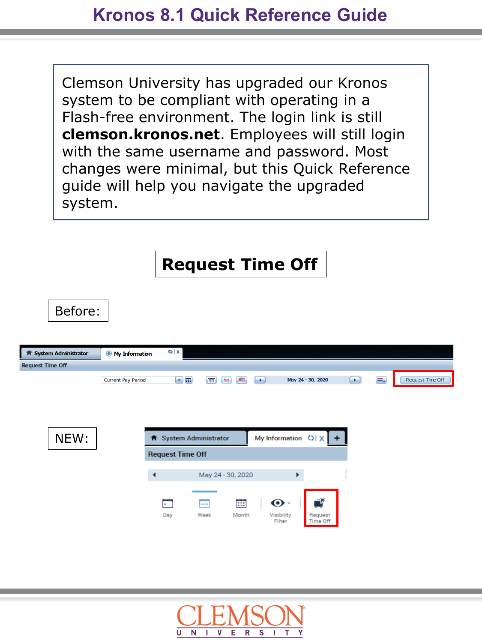Clemson University has upgraded our Kronos system to be compliant with operating in a Flash-free environment. The login link is still **clemson.kronos.net**. Employees will still login with the same username and password. Most changes were minimal, but this Quick Reference guide will help you navigate the upgraded system.



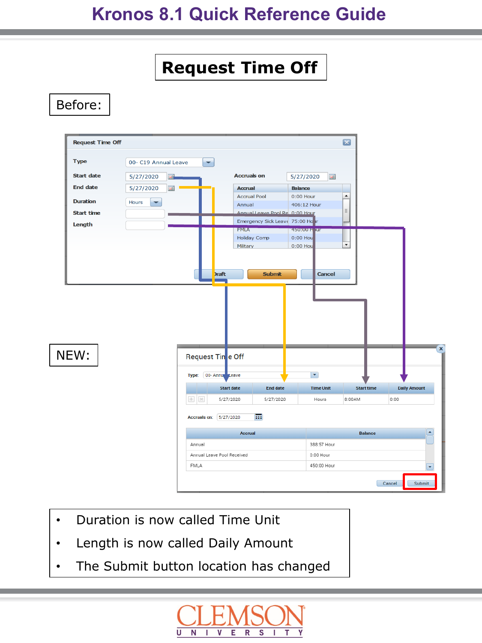# **Kronos 8.1 Quick Reference Guide**



Before:



- Duration is now called Time Unit
- Length is now called Daily Amount
- The Submit button location has changed

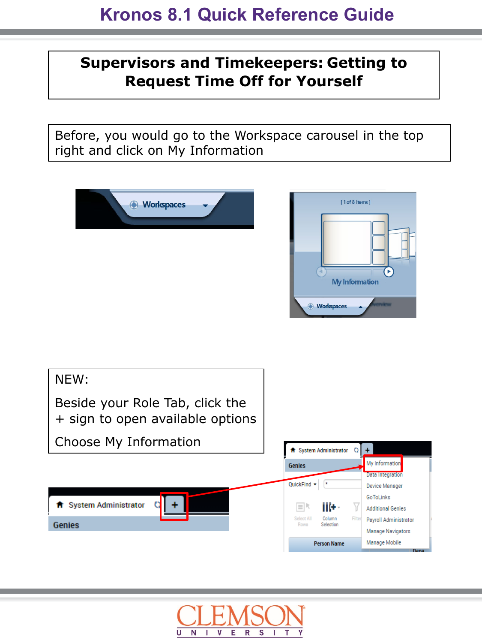## **Supervisors and Timekeepers: Getting to Request Time Off for Yourself**

Before, you would go to the Workspace carousel in the top right and click on My Information







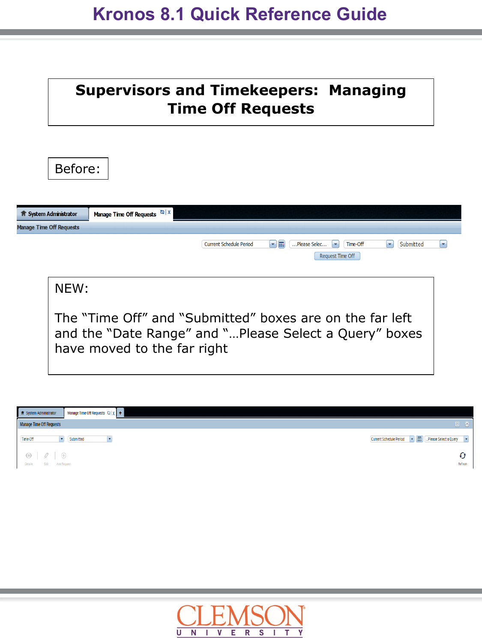| <b>Supervisors and Timekeepers: Managing</b><br><b>Time Off Requests</b>                                                                          |   |
|---------------------------------------------------------------------------------------------------------------------------------------------------|---|
| Before:<br>Manage Time Off Requests $\frac{dy}{dx}$ X<br><b>f</b> System Administrator                                                            |   |
| <b>Manage Time Off Requests</b>                                                                                                                   |   |
| - 5<br><b>Current Schedule Period</b><br>Please Selec<br>Time-Off<br>Submitted<br>÷<br>٠<br>Request Time Off                                      | ٠ |
| NEW:                                                                                                                                              |   |
| The "Time Off" and "Submitted" boxes are on the far left<br>and the "Date Range" and "Please Select a Query" boxes<br>have moved to the far right |   |

| f System Administrator                         | Manage Time Off Requests $Q \times +$ |                                                     |
|------------------------------------------------|---------------------------------------|-----------------------------------------------------|
| <b>Manage Time Off Requests</b>                |                                       | 回卷                                                  |
| Time-Off                                       | Submitted<br>$\blacktriangledown$     | Current Schedule Period v 1: Desse Select a Query v |
| $\circ$ $\circ$<br>Details<br>Edit Add Request | $\oplus$                              | Refresh                                             |

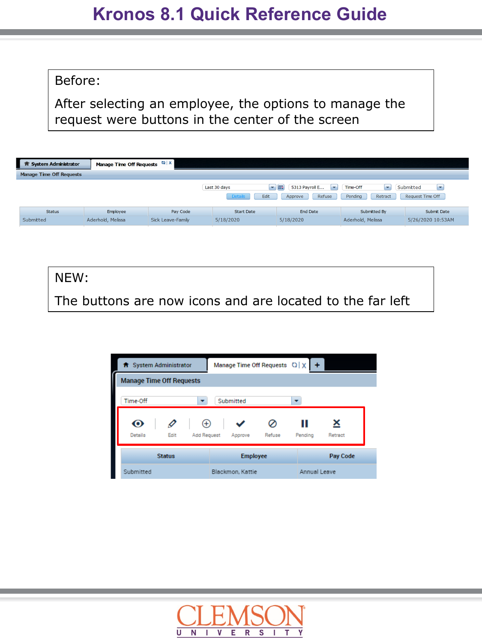## **Kronos 8.1 Quick Reference Guide**

#### Before:

After selecting an employee, the options to manage the request were buttons in the center of the screen

| <b>System Administrator</b>     | Manage Time Off Requests $\frac{1}{2}$ X |                   |                                        |                                                                           |                                     |                                                           |
|---------------------------------|------------------------------------------|-------------------|----------------------------------------|---------------------------------------------------------------------------|-------------------------------------|-----------------------------------------------------------|
| <b>Manage Time Off Requests</b> |                                          |                   |                                        |                                                                           |                                     |                                                           |
|                                 |                                          |                   | Last 30 days<br>Edit<br><b>Details</b> | 5313 Payroll E<br>$\overline{\phantom{a}}$<br>$-100$<br>Refuse<br>Approve | Time-Off<br>×<br>Pending<br>Retract | $\overline{\phantom{a}}$<br>Submitted<br>Request Time Off |
| <b>Status</b>                   | Employee                                 | Pay Code          | <b>Start Date</b>                      | <b>End Date</b>                                                           | Submitted By                        | Submit Date                                               |
| Submitted                       | Aderhold, Melissa                        | Sick Leave-Family | 5/18/2020                              | 5/18/2020                                                                 | Aderhold, Melissa                   | 5/26/2020 10:53AM                                         |

NEW: The buttons are now icons and are located to the far left

| f System Administrator          |               |                    |                  | Manage Time Off Requests ()   X |              |          |
|---------------------------------|---------------|--------------------|------------------|---------------------------------|--------------|----------|
| <b>Manage Time Off Requests</b> |               |                    |                  |                                 |              |          |
| Time-Off                        |               |                    | Submitted        |                                 |              |          |
|                                 |               | æ                  |                  |                                 |              |          |
| <b>Details</b>                  | Edit          | <b>Add Request</b> | Approve          | Refuse                          | Pending      | Retract  |
|                                 | <b>Status</b> |                    | <b>Employee</b>  |                                 |              | Pay Code |
| Submitted                       |               |                    | Blackmon, Kattie |                                 | Annual Leave |          |